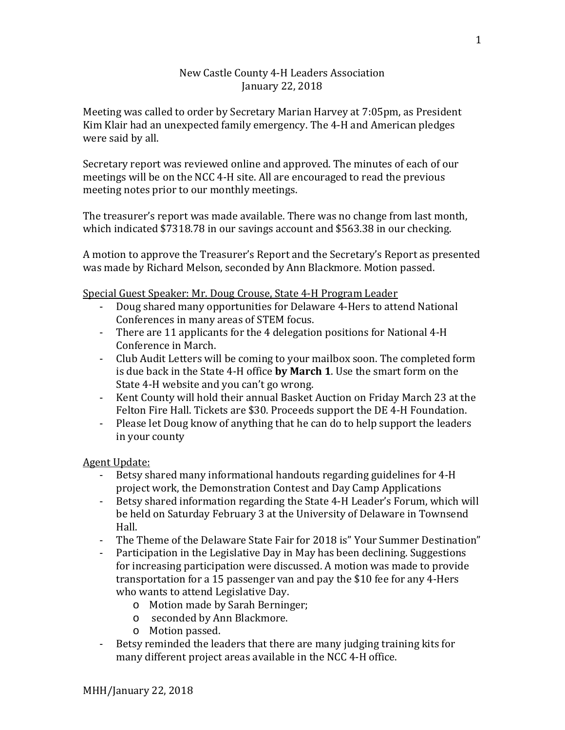## New Castle County 4-H Leaders Association January 22, 2018

Meeting was called to order by Secretary Marian Harvey at 7:05pm, as President Kim Klair had an unexpected family emergency. The 4-H and American pledges were said by all.

Secretary report was reviewed online and approved. The minutes of each of our meetings will be on the NCC 4-H site. All are encouraged to read the previous meeting notes prior to our monthly meetings.

The treasurer's report was made available. There was no change from last month, which indicated \$7318.78 in our savings account and \$563.38 in our checking.

A motion to approve the Treasurer's Report and the Secretary's Report as presented was made by Richard Melson, seconded by Ann Blackmore. Motion passed.

Special Guest Speaker: Mr. Doug Crouse, State 4-H Program Leader

- Doug shared many opportunities for Delaware 4-Hers to attend National Conferences in many areas of STEM focus.
- There are 11 applicants for the 4 delegation positions for National 4-H Conference in March.
- Club Audit Letters will be coming to your mailbox soon. The completed form is due back in the State 4-H office **by March 1**. Use the smart form on the State 4-H website and you can't go wrong.
- Kent County will hold their annual Basket Auction on Friday March 23 at the Felton Fire Hall. Tickets are \$30. Proceeds support the DE 4-H Foundation.
- Please let Doug know of anything that he can do to help support the leaders in your county

Agent Update:

- Betsy shared many informational handouts regarding guidelines for 4-H project work, the Demonstration Contest and Day Camp Applications
- Betsy shared information regarding the State 4-H Leader's Forum, which will be held on Saturday February 3 at the University of Delaware in Townsend Hall.
- The Theme of the Delaware State Fair for 2018 is" Your Summer Destination"
- Participation in the Legislative Day in May has been declining. Suggestions for increasing participation were discussed. A motion was made to provide transportation for a 15 passenger van and pay the \$10 fee for any 4-Hers who wants to attend Legislative Day.
	- o Motion made by Sarah Berninger;
	- o seconded by Ann Blackmore.
	- o Motion passed.
- Betsy reminded the leaders that there are many judging training kits for many different project areas available in the NCC 4-H office.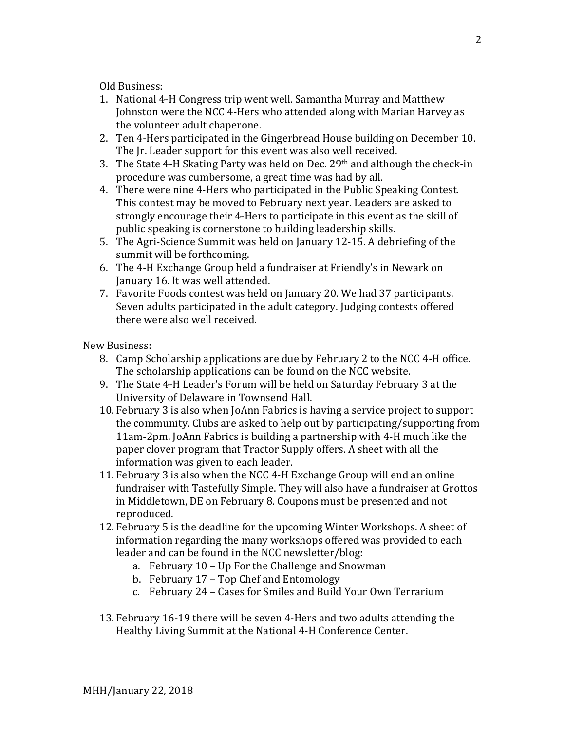Old Business:

- 1. National 4-H Congress trip went well. Samantha Murray and Matthew Johnston were the NCC 4-Hers who attended along with Marian Harvey as the volunteer adult chaperone.
- 2. Ten 4-Hers participated in the Gingerbread House building on December 10. The Jr. Leader support for this event was also well received.
- 3. The State 4-H Skating Party was held on Dec. 29th and although the check-in procedure was cumbersome, a great time was had by all.
- 4. There were nine 4-Hers who participated in the Public Speaking Contest. This contest may be moved to February next year. Leaders are asked to strongly encourage their 4-Hers to participate in this event as the skill of public speaking is cornerstone to building leadership skills.
- 5. The Agri-Science Summit was held on January 12-15. A debriefing of the summit will be forthcoming.
- 6. The 4-H Exchange Group held a fundraiser at Friendly's in Newark on January 16. It was well attended.
- 7. Favorite Foods contest was held on January 20. We had 37 participants. Seven adults participated in the adult category. Judging contests offered there were also well received.

New Business:

- 8. Camp Scholarship applications are due by February 2 to the NCC 4-H office. The scholarship applications can be found on the NCC website.
- 9. The State 4-H Leader's Forum will be held on Saturday February 3 at the University of Delaware in Townsend Hall.
- 10. February 3 is also when JoAnn Fabrics is having a service project to support the community. Clubs are asked to help out by participating/supporting from 11am-2pm. JoAnn Fabrics is building a partnership with 4-H much like the paper clover program that Tractor Supply offers. A sheet with all the information was given to each leader.
- 11. February 3 is also when the NCC 4-H Exchange Group will end an online fundraiser with Tastefully Simple. They will also have a fundraiser at Grottos in Middletown, DE on February 8. Coupons must be presented and not reproduced.
- 12. February 5 is the deadline for the upcoming Winter Workshops. A sheet of information regarding the many workshops offered was provided to each leader and can be found in the NCC newsletter/blog:
	- a. February 10 Up For the Challenge and Snowman
	- b. February 17 Top Chef and Entomology
	- c. February 24 Cases for Smiles and Build Your Own Terrarium
- 13. February 16-19 there will be seven 4-Hers and two adults attending the Healthy Living Summit at the National 4-H Conference Center.